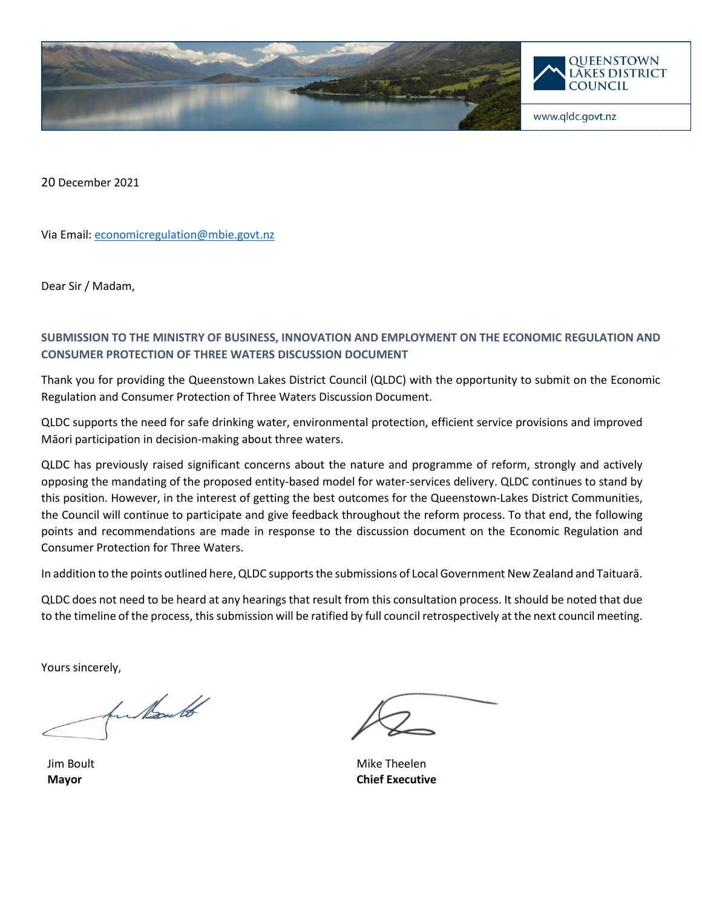

20 December 2021

Via Email: [economicregulation@mbie.govt.nz](mailto:economicregulation@mbie.govt.nz)

Dear Sir / Madam,

# **SUBMISSION TO THE MINISTRY OF BUSINESS, INNOVATION AND EMPLOYMENT ON THE ECONOMIC REGULATION AND CONSUMER PROTECTION OF THREE WATERS DISCUSSION DOCUMENT**

Thank you for providing the Queenstown Lakes District Council (QLDC) with the opportunity to submit on the Economic Regulation and Consumer Protection of Three Waters Discussion Document.

QLDC supports the need for safe drinking water, environmental protection, efficient service provisions and improved Māori participation in decision-making about three waters.

QLDC has previously raised significant concerns about the nature and programme of reform, strongly and actively opposing the mandating of the proposed entity-based model for water-services delivery. QLDC continues to stand by this position. However, in the interest of getting the best outcomes for the Queenstown-Lakes District Communities, the Council will continue to participate and give feedback throughout the reform process. To that end, the following points and recommendations are made in response to the discussion document on the Economic Regulation and Consumer Protection for Three Waters.

In addition to the points outlined here, QLDC supports the submissions of Local Government New Zealand and Taituarā.

QLDC does not need to be heard at any hearings that result from this consultation process. It should be noted that due to the timeline of the process, this submission will be ratified by full council retrospectively at the next council meeting.

Yours sincerely,

hu Kould

Jim Boult **Mayor**

Mike Theelen **Chief Executive**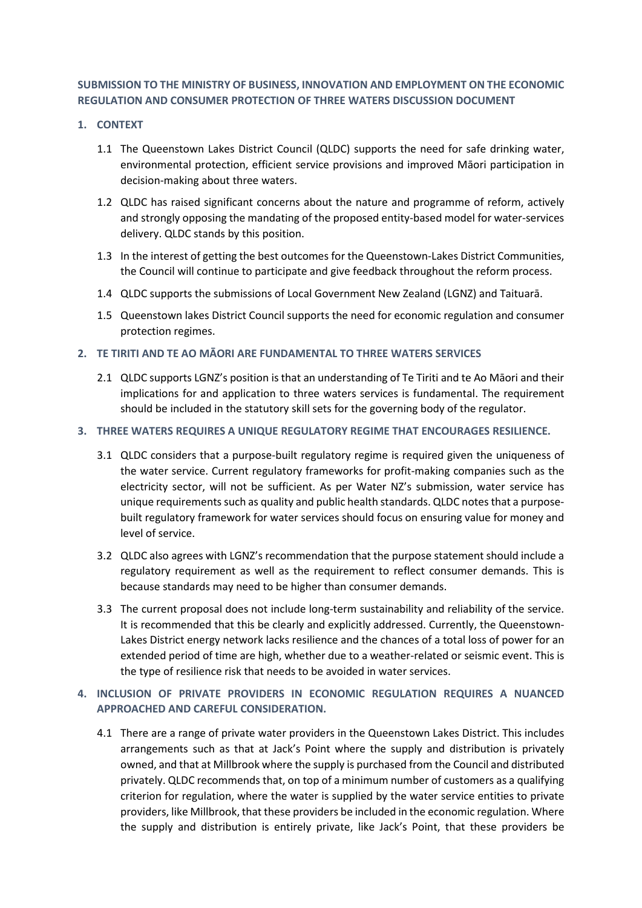## **SUBMISSION TO THE MINISTRY OF BUSINESS, INNOVATION AND EMPLOYMENT ON THE ECONOMIC REGULATION AND CONSUMER PROTECTION OF THREE WATERS DISCUSSION DOCUMENT**

#### **1. CONTEXT**

- 1.1 The Queenstown Lakes District Council (QLDC) supports the need for safe drinking water, environmental protection, efficient service provisions and improved Māori participation in decision-making about three waters.
- 1.2 QLDC has raised significant concerns about the nature and programme of reform, actively and strongly opposing the mandating of the proposed entity-based model for water-services delivery. QLDC stands by this position.
- 1.3 In the interest of getting the best outcomes for the Queenstown-Lakes District Communities, the Council will continue to participate and give feedback throughout the reform process.
- 1.4 QLDC supports the submissions of Local Government New Zealand (LGNZ) and Taituarā.
- 1.5 Queenstown lakes District Council supports the need for economic regulation and consumer protection regimes.

### **2. TE TIRITI AND TE AO MĀORI ARE FUNDAMENTAL TO THREE WATERS SERVICES**

2.1 QLDC supports LGNZ's position is that an understanding of Te Tiriti and te Ao Māori and their implications for and application to three waters services is fundamental. The requirement should be included in the statutory skill sets for the governing body of the regulator.

#### **3. THREE WATERS REQUIRES A UNIQUE REGULATORY REGIME THAT ENCOURAGES RESILIENCE.**

- 3.1 QLDC considers that a purpose-built regulatory regime is required given the uniqueness of the water service. Current regulatory frameworks for profit-making companies such as the electricity sector, will not be sufficient. As per Water NZ's submission, water service has unique requirements such as quality and public health standards. QLDC notes that a purposebuilt regulatory framework for water services should focus on ensuring value for money and level of service.
- 3.2 QLDC also agrees with LGNZ's recommendation that the purpose statement should include a regulatory requirement as well as the requirement to reflect consumer demands. This is because standards may need to be higher than consumer demands.
- 3.3 The current proposal does not include long-term sustainability and reliability of the service. It is recommended that this be clearly and explicitly addressed. Currently, the Queenstown-Lakes District energy network lacks resilience and the chances of a total loss of power for an extended period of time are high, whether due to a weather-related or seismic event. This is the type of resilience risk that needs to be avoided in water services.

# **4. INCLUSION OF PRIVATE PROVIDERS IN ECONOMIC REGULATION REQUIRES A NUANCED APPROACHED AND CAREFUL CONSIDERATION.**

4.1 There are a range of private water providers in the Queenstown Lakes District. This includes arrangements such as that at Jack's Point where the supply and distribution is privately owned, and that at Millbrook where the supply is purchased from the Council and distributed privately. QLDC recommends that, on top of a minimum number of customers as a qualifying criterion for regulation, where the water is supplied by the water service entities to private providers, like Millbrook, that these providers be included in the economic regulation. Where the supply and distribution is entirely private, like Jack's Point, that these providers be